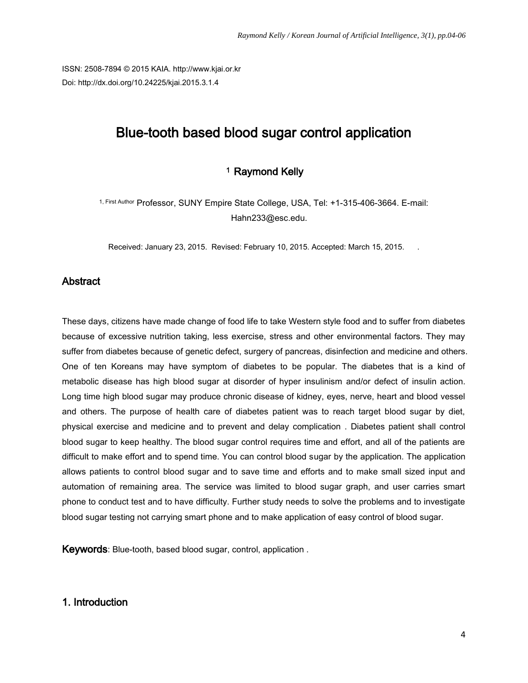ISSN: 2508-7894 © 2015 KAIA. http://www.kjai.or.kr Doi: http://dx.doi.org/10.24225/kjai.2015.3.1.4

# Blue-tooth based blood sugar control application

# <sup>1</sup> Raymond Kelly

1, First Author Professor, SUNY Empire State College, USA, Tel: +1-315-406-3664. E-mail: Hahn233@esc.edu.

Received: January 23, 2015. Revised: February 10, 2015. Accepted: March 15, 2015.

### **Abstract**

These days, citizens have made change of food life to take Western style food and to suffer from diabetes because of excessive nutrition taking, less exercise, stress and other environmental factors. They may suffer from diabetes because of genetic defect, surgery of pancreas, disinfection and medicine and others. One of ten Koreans may have symptom of diabetes to be popular. The diabetes that is a kind of metabolic disease has high blood sugar at disorder of hyper insulinism and/or defect of insulin action. Long time high blood sugar may produce chronic disease of kidney, eyes, nerve, heart and blood vessel and others. The purpose of health care of diabetes patient was to reach target blood sugar by diet, physical exercise and medicine and to prevent and delay complication . Diabetes patient shall control blood sugar to keep healthy. The blood sugar control requires time and effort, and all of the patients are difficult to make effort and to spend time. You can control blood sugar by the application. The application allows patients to control blood sugar and to save time and efforts and to make small sized input and automation of remaining area. The service was limited to blood sugar graph, and user carries smart phone to conduct test and to have difficulty. Further study needs to solve the problems and to investigate blood sugar testing not carrying smart phone and to make application of easy control of blood sugar.

Keywords: Blue-tooth, based blood sugar, control, application .

#### 1. Introduction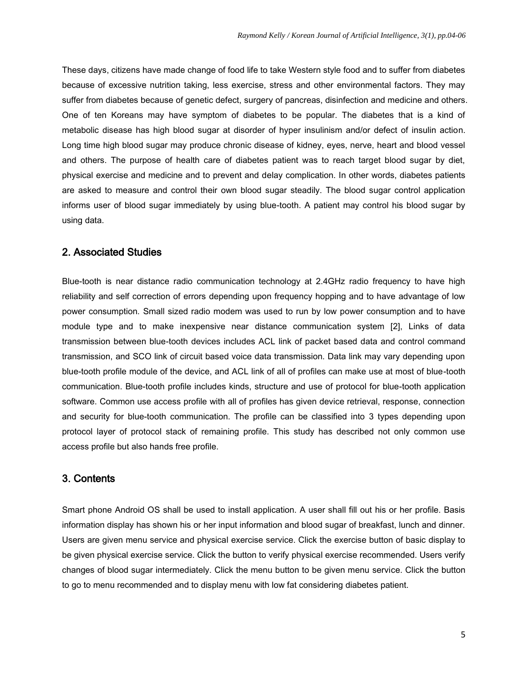These days, citizens have made change of food life to take Western style food and to suffer from diabetes because of excessive nutrition taking, less exercise, stress and other environmental factors. They may suffer from diabetes because of genetic defect, surgery of pancreas, disinfection and medicine and others. One of ten Koreans may have symptom of diabetes to be popular. The diabetes that is a kind of metabolic disease has high blood sugar at disorder of hyper insulinism and/or defect of insulin action. Long time high blood sugar may produce chronic disease of kidney, eyes, nerve, heart and blood vessel and others. The purpose of health care of diabetes patient was to reach target blood sugar by diet, physical exercise and medicine and to prevent and delay complication. In other words, diabetes patients are asked to measure and control their own blood sugar steadily. The blood sugar control application informs user of blood sugar immediately by using blue-tooth. A patient may control his blood sugar by using data.

#### 2. Associated Studies

Blue-tooth is near distance radio communication technology at 2.4GHz radio frequency to have high reliability and self correction of errors depending upon frequency hopping and to have advantage of low power consumption. Small sized radio modem was used to run by low power consumption and to have module type and to make inexpensive near distance communication system [2], Links of data transmission between blue-tooth devices includes ACL link of packet based data and control command transmission, and SCO link of circuit based voice data transmission. Data link may vary depending upon blue-tooth profile module of the device, and ACL link of all of profiles can make use at most of blue-tooth communication. Blue-tooth profile includes kinds, structure and use of protocol for blue-tooth application software. Common use access profile with all of profiles has given device retrieval, response, connection and security for blue-tooth communication. The profile can be classified into 3 types depending upon protocol layer of protocol stack of remaining profile. This study has described not only common use access profile but also hands free profile.

#### 3. Contents

Smart phone Android OS shall be used to install application. A user shall fill out his or her profile. Basis information display has shown his or her input information and blood sugar of breakfast, lunch and dinner. Users are given menu service and physical exercise service. Click the exercise button of basic display to be given physical exercise service. Click the button to verify physical exercise recommended. Users verify changes of blood sugar intermediately. Click the menu button to be given menu service. Click the button to go to menu recommended and to display menu with low fat considering diabetes patient.